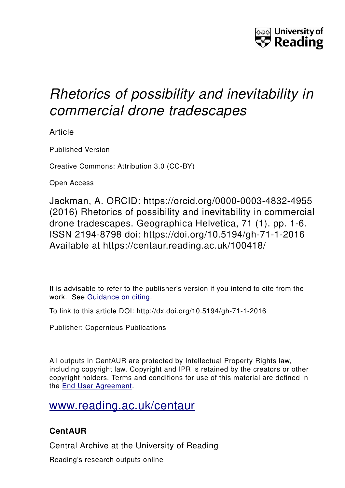

# *Rhetorics of possibility and inevitability in commercial drone tradescapes*

Article

Published Version

Creative Commons: Attribution 3.0 (CC-BY)

Open Access

Jackman, A. ORCID: https://orcid.org/0000-0003-4832-4955 (2016) Rhetorics of possibility and inevitability in commercial drone tradescapes. Geographica Helvetica, 71 (1). pp. 1-6. ISSN 2194-8798 doi: https://doi.org/10.5194/gh-71-1-2016 Available at https://centaur.reading.ac.uk/100418/

It is advisable to refer to the publisher's version if you intend to cite from the work. See [Guidance on citing.](http://centaur.reading.ac.uk/71187/10/CentAUR%20citing%20guide.pdf)

To link to this article DOI: http://dx.doi.org/10.5194/gh-71-1-2016

Publisher: Copernicus Publications

All outputs in CentAUR are protected by Intellectual Property Rights law, including copyright law. Copyright and IPR is retained by the creators or other copyright holders. Terms and conditions for use of this material are defined in the [End User Agreement.](http://centaur.reading.ac.uk/licence)

[www.reading.ac.uk/centaur](http://www.reading.ac.uk/centaur)

### **CentAUR**

Central Archive at the University of Reading

Reading's research outputs online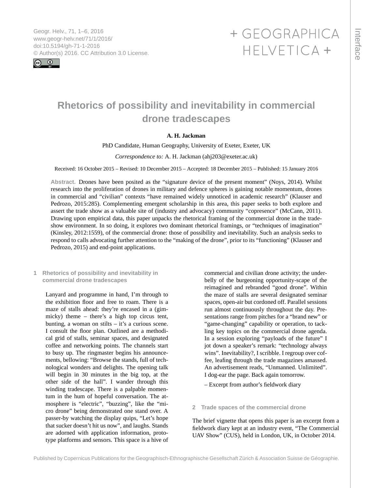<span id="page-1-0"></span>Geogr. Helv., 71, 1–6, 2016 www.geogr-helv.net/71/1/2016/ doi:10.5194/gh-71-1-2016 © Author(s) 2016. CC Attribution 3.0 License.



## + GEOGRAPHICA HELVETICA +

### **Rhetorics of possibility and inevitability in commercial drone tradescapes**

#### **A. H. Jackman**

PhD Candidate, Human Geography, University of Exeter, Exeter, UK

#### *Correspondence to:* A. H. Jackman (ahj203@exeter.ac.uk)

Received: 16 October 2015 – Revised: 10 December 2015 – Accepted: 18 December 2015 – Published: 15 January 2016

**Abstract.** Drones have been posited as the "signature device of the present moment" (Noys, 2014). Whilst research into the proliferation of drones in military and defence spheres is gaining notable momentum, drones in commercial and "civilian" contexts "have remained widely unnoticed in academic research" (Klauser and Pedrozo, 2015:285). Complementing emergent scholarship in this area, this paper seeks to both explore and assert the trade show as a valuable site of (industry and advocacy) community "copresence" (McCann, 2011). Drawing upon empirical data, this paper unpacks the rhetorical framing of the commercial drone in the tradeshow environment. In so doing, it explores two dominant rhetorical framings, or "techniques of imagination" (Kinsley, 2012:1559), of the commercial drone: those of possibility and inevitability. Such an analysis seeks to respond to calls advocating further attention to the "making of the drone", prior to its "functioning" (Klauser and Pedrozo, 2015) and end-point applications.

**1 Rhetorics of possibility and inevitability in commercial drone tradescapes**

Lanyard and programme in hand, I'm through to the exhibition floor and free to roam. There is a maze of stalls ahead: they're encased in a (gimmicky) theme – there's a high top circus tent, bunting, a woman on stilts – it's a curious scene. I consult the floor plan. Outlined are a methodical grid of stalls, seminar spaces, and designated coffee and networking points. The channels start to busy up. The ringmaster begins his announcements, bellowing: "Browse the stands, full of technological wonders and delights. The opening talk will begin in 30 minutes in the big top, at the other side of the hall". I wander through this winding tradescape. There is a palpable momentum in the hum of hopeful conversation. The atmosphere is "electric", "buzzing", like the "micro drone" being demonstrated one stand over. A passer-by watching the display quips, "Let's hope that sucker doesn't hit us now", and laughs. Stands are adorned with application information, prototype platforms and sensors. This space is a hive of

commercial and civilian drone activity; the underbelly of the burgeoning opportunity-scape of the reimagined and rebranded "good drone". Within the maze of stalls are several designated seminar spaces, open-air but cordoned off. Parallel sessions run almost continuously throughout the day. Presentations range from pitches for a "brand new" or "game-changing" capability or operation, to tackling key topics on the commercial drone agenda. In a session exploring "payloads of the future" I jot down a speaker's remark: "technology always wins". Inevitability?, I scribble. I regroup over coffee, leafing through the trade magazines amassed. An advertisement reads, "Unmanned. Unlimited". I dog-ear the page. Back again tomorrow.

– Excerpt from author's fieldwork diary

#### **2 Trade spaces of the commercial drone**

The brief vignette that opens this paper is an excerpt from a fieldwork diary kept at an industry event, "The Commercial UAV Show" (CUS), held in London, UK, in October 2014.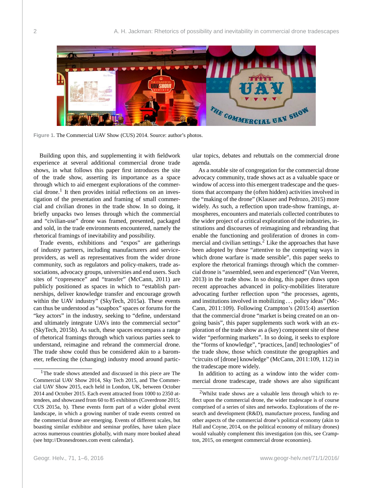

**Figure 1.** The Commercial UAV Show (CUS) 2014. Source: author's photos.

Building upon this, and supplementing it with fieldwork experience at several additional commercial drone trade shows, in what follows this paper first introduces the site of the trade show, asserting its importance as a space through which to aid emergent explorations of the commercial drone.<sup>1</sup> It then provides initial reflections on an investigation of the presentation and framing of small commercial and civilian drones in the trade show. In so doing, it briefly unpacks two lenses through which the commercial and "civilian-use" drone was framed, presented, packaged and sold, in the trade environments encountered, namely the rhetorical framings of inevitability and possibility.

Trade events, exhibitions and "expos" are gatherings of industry partners, including manufacturers and serviceproviders, as well as representatives from the wider drone community, such as regulators and policy-makers, trade associations, advocacy groups, universities and end users. Such sites of "copresence" and "transfer" (McCann, 2011) are publicly positioned as spaces in which to "establish partnerships, deliver knowledge transfer and encourage growth within the UAV industry" (SkyTech, 2015a). These events can thus be understood as "soapbox" spaces or forums for the "key actors" in the industry, seeking to "define, understand and ultimately integrate UAVs into the commercial sector" (SkyTech, 2015b). As such, these spaces encompass a range of rhetorical framings through which various parties seek to understand, reimagine and rebrand the commercial drone. The trade show could thus be considered akin to a barometer, reflecting the (changing) industry mood around particular topics, debates and rebuttals on the commercial drone agenda.

As a notable site of congregation for the commercial drone advocacy community, trade shows act as a valuable space or window of access into this emergent tradescape and the questions that accompany the (often hidden) activities involved in the "making of the drone" (Klauser and Pedrozo, 2015) more widely. As such, a reflection upon trade-show framings, atmospheres, encounters and materials collected contributes to the wider project of a critical exploration of the industries, institutions and discourses of reimagining and rebranding that enable the functioning and proliferation of drones in commercial and civilian settings. $<sup>2</sup>$  Like the approaches that have</sup> been adopted by those "attentive to the competing ways in which drone warfare is made sensible", this paper seeks to explore the rhetorical framings through which the commercial drone is "assembled, seen and experienced" (Van Veeren, 2013) in the trade show. In so doing, this paper draws upon recent approaches advanced in policy-mobilities literature advocating further reflection upon "the processes, agents, and institutions involved in mobilizing . . . policy ideas" (Mc-Cann, 2011:109). Following Crampton's (2015:4) assertion that the commercial drone "market is being created on an ongoing basis", this paper supplements such work with an exploration of the trade show as a (key) component site of these wider "performing markets". In so doing, it seeks to explore the "forms of knowledge", "practices, [and] technologies" of the trade show, those which constitute the geographies and "circuits of [drone] knowledge" (McCann, 2011:109, 112) in the tradescape more widely.

In addition to acting as a window into the wider commercial drone tradescape, trade shows are also significant

<sup>&</sup>lt;sup>1</sup>The trade shows attended and discussed in this piece are The Commercial UAV Show 2014, Sky Tech 2015, and The Commercial UAV Show 2015, each held in London, UK, between October 2014 and October 2015. Each event attracted from 1000 to 2350 attendees, and showcased from 60 to 85 exhibitors (Coverdrone 2015; CUS 2015a, b). These events form part of a wider global event landscape, in which a growing number of trade events centred on the commercial drone are emerging. Events of different scales, but boasting similar exhibitor and seminar profiles, have taken place across numerous countries globally, with many more booked ahead (see <http://Dronesdrones.com> event calendar).

<sup>2</sup>Whilst trade shows are a valuable lens through which to reflect upon the commercial drone, the wider tradescape is of course comprised of a series of sites and networks. Explorations of the research and development (R&D), manufacture process, funding and other aspects of the commercial drone's political economy (akin to Hall and Coyne, 2014, on the political economy of military drones) would valuably complement this investigation (on this, see Crampton, 2015, on emergent commercial drone economies).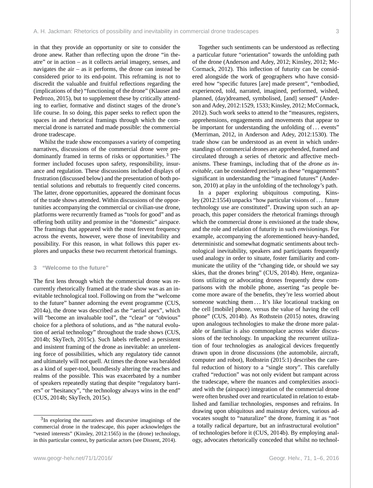in that they provide an opportunity or site to consider the drone anew. Rather than reflecting upon the drone "in theatre" or in action – as it collects aerial imagery, senses, and navigates the  $air - as$  it performs, the drone can instead be considered prior to its end-point. This reframing is not to discredit the valuable and fruitful reflections regarding the (implications of the) "functioning of the drone" (Klauser and Pedrozo, 2015), but to supplement these by critically attending to earlier, formative and distinct stages of the drone's life course. In so doing, this paper seeks to reflect upon the spaces in and rhetorical framings through which the commercial drone is narrated and made possible: the commercial drone tradescape.

Whilst the trade show encompasses a variety of competing narratives, discussions of the commercial drone were predominantly framed in terms of risks or opportunities.<sup>3</sup> The former included focuses upon safety, responsibility, insurance and regulation. These discussions included displays of frustration (discussed below) and the presentation of both potential solutions and rebuttals to frequently cited concerns. The latter, drone opportunities, appeared the dominant focus of the trade shows attended. Within discussions of the opportunities accompanying the commercial or civilian-use drone, platforms were recurrently framed as "tools for good" and as offering both utility and promise in the "domestic" airspace. The framings that appeared with the most fervent frequency across the events, however, were those of inevitability and possibility. For this reason, in what follows this paper explores and unpacks these two recurrent rhetorical framings.

#### **3 "Welcome to the future"**

The first lens through which the commercial drone was recurrently rhetorically framed at the trade show was as an inevitable technological tool. Following on from the "welcome to the future" banner adorning the event programme (CUS, 2014a), the drone was described as the "aerial apex", which will "become an invaluable tool", the "clear" or "obvious" choice for a plethora of solutions, and as "the natural evolution of aerial technology" throughout the trade shows (CUS, 2014b; SkyTech, 2015c). Such labels reflected a persistent and insistent framing of the drone as inevitable: an unrelenting force of possibilities, which any regulatory tide cannot and ultimately will not quell. At times the drone was heralded as a kind of super-tool, boundlessly altering the reaches and realms of the possible. This was exacerbated by a number of speakers repeatedly stating that despite "regulatory barriers" or "hesitancy", "the technology always wins in the end" (CUS, 2014b; SkyTech, 2015c).

www.geogr-helv.net/71/1/2016/ Geogr. Helv., 71, 1[–6,](#page-1-0) 2016

Together such sentiments can be understood as reflecting a particular future "orientation" towards the unfolding path of the drone (Anderson and Adey, 2012; Kinsley, 2012; Mc-Cormack, 2012). This inflection of futurity can be considered alongside the work of geographers who have considered how "specific futures [are] made present", "embodied, experienced, told, narrated, imagined, performed, wished, planned, (day)dreamed, symbolised, [and] sensed" (Anderson and Adey, 2012:1529, 1533; Kinsley, 2012; McCormack, 2012). Such work seeks to attend to the "measures, registers, apprehensions, engagements and movements that appear to be important for understanding the unfolding of ... events" (Merriman, 2012, in Anderson and Adey, 2012:1530). The trade show can be understood as an event in which understandings of commercial drones are apprehended, framed and circulated through a series of rhetoric and affective mechanisms. These framings, including that of the *drone as inevitable*, can be considered precisely as these "engagements" significant in understanding the "imagined futures" (Anderson, 2010) at play in the unfolding of the technology's path.

In a paper exploring ubiquitous computing, Kinsley (2012:1554) unpacks "how particular visions of . . . future technology use are constituted". Drawing upon such an approach, this paper considers the rhetorical framings through which the commercial drone is envisioned at the trade show, and the role and relation of futurity in such *envisionings*. For example, accompanying the aforementioned heavy-handed, deterministic and somewhat dogmatic sentiments about technological inevitability, speakers and participants frequently used analogy in order to situate, foster familiarity and communicate the utility of the "changing tide, or should we say skies, that the drones bring" (CUS, 2014b). Here, organizations utilizing or advocating drones frequently drew comparisons with the mobile phone, asserting "as people become more aware of the benefits, they're less worried about someone watching them ... It's like locational tracking on the cell [mobile] phone, versus the value of having the cell phone" (CUS, 2014b). As Rothstein (2015) notes, drawing upon analogous technologies to make the drone more palatable or familiar is also commonplace across wider discussions of the technology. In unpacking the recurrent utilization of four technologies as analogical devices frequently drawn upon in drone discussions (the automobile, aircraft, computer and robot), Rothstein (2015:1) describes the careful reduction of history to a "single story". This carefully crafted "reduction" was not only evident but rampant across the tradescape, where the nuances and complexities associated with the (airspace) integration of the commercial drone were often brushed over and rearticulated in relation to established and familiar technologies, responses and refrains. In drawing upon ubiquitous and mainstay devices, various advocates sought to "naturalize" the drone, framing it as "not a totally radical departure, but an infrastructural evolution" of technologies before it (CUS, 2014b). By employing analogy, advocates rhetorically conceded that whilst no technol-

<sup>&</sup>lt;sup>3</sup>In exploring the narratives and discursive imaginings of the commercial drone in the tradescape, this paper acknowledges the "vested interests" (Kinsley, 2012:1565) in the (drone) technology, in this particular context, by particular actors (see Dissent, 2014).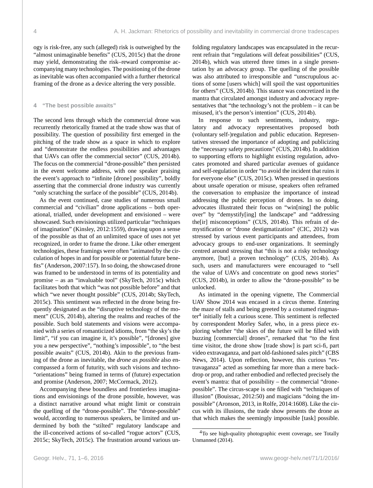ogy is risk-free, any such (alleged) risk is outweighed by the "almost unimaginable benefits" (CUS, 2015c) that the drone may yield, demonstrating the risk–reward compromise accompanying many technologies. The positioning of the drone as inevitable was often accompanied with a further rhetorical framing of the drone as a device altering the very possible.

#### **4 "The best possible awaits"**

The second lens through which the commercial drone was recurrently rhetorically framed at the trade show was that of possibility. The question of possibility first emerged in the pitching of the trade show as a space in which to explore and "demonstrate the endless possibilities and advantages that UAVs can offer the commercial sector" (CUS, 2014b). The focus on the commercial "drone-possible" then persisted in the event welcome address, with one speaker praising the event's approach to "infinite [drone] possibility", boldly asserting that the commercial drone industry was currently "only scratching the surface of the possible" (CUS, 2014b).

As the event continued, case studies of numerous small commercial and "civilian" drone applications – both operational, trialled, under development and envisioned – were showcased. Such envisionings utilized particular "techniques of imagination" (Kinsley, 2012:1559), drawing upon a sense of the possible as that of an unlimited space of uses not yet recognized, in order to frame the drone. Like other emergent technologies, these framings were often "animated by the circulation of hopes in and for possible or potential future benefits" (Anderson, 2007:157). In so doing, the showcased drone was framed to be understood in terms of its potentiality and promise – as an "invaluable tool" (SkyTech, 2015c) which facilitates both that which "was not possible before" and that which "we never thought possible" (CUS, 2014b; SkyTech, 2015c). This sentiment was reflected in the drone being frequently designated as the "disruptive technology of the moment" (CUS, 2014b), altering the realms and reaches of the possible. Such bold statements and visions were accompanied with a series of romanticized idioms, from "the sky's the limit", "if you can imagine it, it's possible", "[drones] give you a new perspective", "nothing's impossible", to "the best possible awaits" (CUS, 2014b). Akin to the previous framing of the drone as inevitable, the *drone as possible* also encompassed a form of futurity, with such visions and techno- "orientations" being framed in terms of (future) expectation and promise (Anderson, 2007; McCormack, 2012).

Accompanying these boundless and frontierless imaginations and envisionings of the drone possible, however, was a distinct narrative around what might limit or constrain the quelling of the "drone-possible". The "drone-possible" would, according to numerous speakers, be limited and undermined by both the "stilted" regulatory landscape and the ill-conceived actions of so-called "rogue actors" (CUS, 2015c; SkyTech, 2015c). The frustration around various unfolding regulatory landscapes was encapsulated in the recurrent refrain that "regulations will defeat possibilities" (CUS, 2014b), which was uttered three times in a single presentation by an advocacy group. The quelling of the possible was also attributed to irresponsible and "unscrupulous actions of some [users which] will spoil the vast opportunities for others" (CUS, 2014b). This stance was concretized in the mantra that circulated amongst industry and advocacy representatives that "the technology's not the problem – it can be misused, it's the person's intention" (CUS, 2014b).

In response to such sentiments, industry, regulatory and advocacy representatives proposed both (voluntary self-)regulation and public education. Representatives stressed the importance of adopting and publicizing the "necessary safety precautions" (CUS, 2014b). In addition to supporting efforts to highlight existing regulation, advocates promoted and shared particular avenues of guidance and self-regulation in order "to avoid the incident that ruins it for everyone else" (CUS, 2015c). When pressed in questions about unsafe operation or misuse, speakers often reframed the conversation to emphasize the importance of instead addressing the public perception of drones. In so doing, advocates illustrated their focus on "win[ning] the public over" by "demystify[ing] the landscape" and "addressing the[ir] misconceptions" (CUS, 2014b). This refrain of demystification or "drone destigmatization" (CIC, 2012) was stressed by various event participants and attendees, from advocacy groups to end-user organizations. It seemingly centred around stressing that "this is not a risky technology anymore, [but] a proven technology" (CUS, 2014b). As such, users and manufacturers were encouraged to "sell the value of UAVs and concentrate on good news stories" (CUS, 2014b), in order to allow the "drone-possible" to be unlocked.

As intimated in the opening vignette, The Commercial UAV Show 2014 was encased in a circus theme. Entering the maze of stalls and being greeted by a costumed ringmaster<sup>4</sup> initially felt a curious scene. This sentiment is reflected by correspondent Morley Safer, who, in a press piece exploring whether "the skies of the future will be filled with buzzing [commercial] drones", remarked that "to the first time visitor, the drone show [trade show] is part sci-fi, part video extravaganza, and part old-fashioned sales pitch" (CBS News, 2014). Upon reflection, however, this curious "extravaganza" acted as something far more than a mere backdrop or prop, and rather embodied and reflected precisely the event's mantra: that of possibility – the commercial "dronepossible". The circus-scape is one filled with "techniques of illusion" (Bouissac, 2012:50) and magicians "doing the impossible" (Aronson, 2013, in Rolfe, 2014:1608). Like the circus with its illusions, the trade show presents the drone as that which makes the seemingly impossible [task] possible.

<sup>&</sup>lt;sup>4</sup>To see high-quality photographic event coverage, see Totally Unmanned (2014).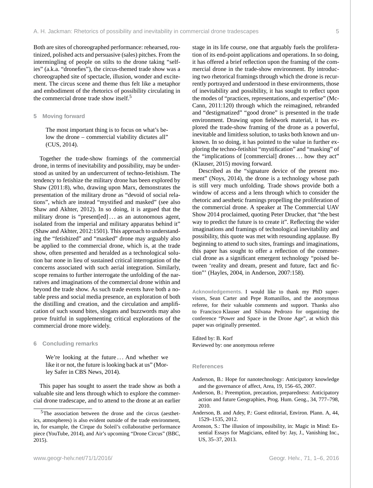Both are sites of choreographed performance: rehearsed, routinized, polished acts and persuasive (sales) pitches. From the intermingling of people on stilts to the drone taking "selfies" (a.k.a. "dronefies"), the circus-themed trade show was a choreographed site of spectacle, illusion, wonder and excitement. The circus scene and theme thus felt like a metaphor and embodiment of the rhetorics of possibility circulating in the commercial drone trade show itself.<sup>5</sup>

#### **5 Moving forward**

The most important thing is to focus on what's below the drone – commercial viability dictates all" (CUS, 2014).

Together the trade-show framings of the commercial drone, in terms of inevitability and possibility, may be understood as united by an undercurrent of techno-fetishism. The tendency to fetishize the military drone has been explored by Shaw (2011:8), who, drawing upon Marx, demonstrates the presentation of the military drone as "devoid of social relations", which are instead "mystified and masked" (see also Shaw and Akhter, 2012). In so doing, it is argued that the military drone is "present[ed]... as an autonomous agent, isolated from the imperial and military apparatus behind it" (Shaw and Akhter, 2012:1501). This approach to understanding the "fetishized" and "masked" drone may arguably also be applied to the commercial drone, which is, at the trade show, often presented and heralded as a technological solution bar none in lieu of sustained critical interrogation of the concerns associated with such aerial integration. Similarly, scope remains to further interrogate the unfolding of the narratives and imaginations of the commercial drone within and beyond the trade show. As such trade events have both a notable press and social media presence, an exploration of both the distilling and creation, and the circulation and amplification of such sound bites, slogans and buzzwords may also prove fruitful in supplementing critical explorations of the commercial drone more widely.

#### **6 Concluding remarks**

We're looking at the future ... And whether we like it or not, the future is looking back at us" (Morley Safer in CBS News, 2014).

This paper has sought to assert the trade show as both a valuable site and lens through which to explore the commercial drone tradescape, and to attend to the drone at an earlier stage in its life course, one that arguably fuels the proliferation of its end-point applications and operations. In so doing, it has offered a brief reflection upon the framing of the commercial drone in the trade-show environment. By introducing two rhetorical framings through which the drone is recurrently portrayed and understood in these environments, those of inevitability and possibility, it has sought to reflect upon the modes of "practices, representations, and expertise" (Mc-Cann, 2011:120) through which the reimagined, rebranded and "destigmatized" "good drone" is presented in the trade environment. Drawing upon fieldwork material, it has explored the trade-show framing of the drone as a powerful, inevitable and limitless solution, to tasks both known and unknown. In so doing, it has pointed to the value in further exploring the techno-fetishist "mystification" and "masking" of the "implications of [commercial] drones . . . how they act" (Klauser, 2015) moving forward.

Described as the "signature device of the present moment" (Noys, 2014), the drone is a technology whose path is still very much unfolding. Trade shows provide both a window of access and a lens through which to consider the rhetoric and aesthetic framings propelling the proliferation of the commercial drone. A speaker at The Commercial UAV Show 2014 proclaimed, quoting Peter Drucker, that "the best way to predict the future is to create it". Reflecting the wider imaginations and framings of technological inevitability and possibility, this quote was met with resounding applause. By beginning to attend to such sites, framings and imaginations, this paper has sought to offer a reflection of the commercial drone as a significant emergent technology "poised between 'reality and dream, present and future, fact and fiction"' (Hayles, 2004, in Anderson, 2007:158).

**Acknowledgements.** I would like to thank my PhD supervisors, Sean Carter and Pepe Romanillos, and the anonymous referee, for their valuable comments and support. Thanks also to Francisco Klauser and Silvana Pedrozo for organizing the conference "Power and Space in the Drone Age", at which this paper was originally presented.

Edited by: B. Korf Reviewed by: one anonymous referee

#### **References**

- Anderson, B.: Hope for nanotechnology: Anticipatory knowledge and the governance of affect, Area, 19, 156–65, 2007.
- Anderson, B.: Preemption, precaution, preparedness: Anticipatory action and future Geographies, Prog. Hum. Geog., 34, 777–798, 2010.
- Anderson, B. and Adey, P.: Guest editorial, Environ. Plann. A, 44, 1529–1535, 2012.
- Aronson, S.: The illusion of impossibility, in: Magic in Mind: Essential Essays for Magicians, edited by: Jay, J., Vanishing Inc., US, 35–37, 2013.

<sup>5</sup>The association between the drone and the circus (aesthetics, atmospheres) is also evident outside of the trade environment, in, for example, the Cirque du Soleil's collaborative performance piece (YouTube, 2014), and Air's upcoming "Drone Circus" (BBC, 2015).